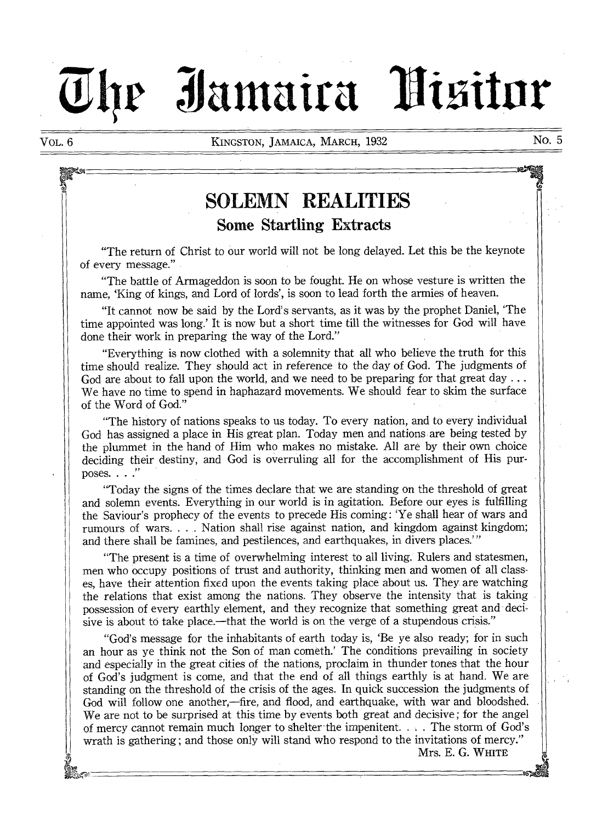# **3iantaira "llitiitur**

VOL. 6 **KINGSTON, JAMAICA, MARCH, 1932 No. 5** 

## **SOLEMN REALITIES Some Startling Extracts**

"The return of Christ to our world will not be long delayed. Let this be the keynote of every message."

"The battle of Armageddon is soon to be fought. He on whose vesture is written the name, 'King of kings, and Lord of lords', is soon to lead forth the armies of heaven.

"It cannot now be said by the Lord's servants, as it was by the prophet Daniel, `The time appointed was long.' It is now but a short time till the witnesses for God will have done their work in preparing the way of the Lord."

"Everything is now clothed with a solemnity that all who believe the truth for this time should realize. They should act in reference to the day of God. The judgments of God are about to fall upon the world, and we need to be preparing for that great day  $\dots$ We have no time to spend in haphazard movements. We should fear to skim the surface of the Word of God."

"The history of nations speaks to us today. To every nation, and to every individual God has assigned a place in His great plan. Today men and nations are being tested by the plummet in the hand of Him who makes no mistake. All are by their own choice deciding their destiny, and God is overruling all for the accomplishment of His purposes. . . ."

"Today the signs of the times declare that we are standing on the threshold of great and solemn events. Everything in our world is in agitation. Before our eyes is fulfilling the Saviour's prophecy of the events to precede His coming : 'Ye shall hear of wars and rumours of wars. . . . Nation shall rise against nation, and kingdom against kingdom; and there shall be famines, and pestilences, and earthquakes, in divers places."

"The present is a time of overwhelming interest to all living. Rulers and statesmen, men who occupy positions of trust and authority, thinking men and women of all classes, have their attention fixed upon the events taking place about us. They are watching the relations that exist among the nations. They observe the intensity that is taking possession of every earthly element, and they recognize that something great and decisive is about to take place.—that the world is on the verge of a stupendous crisis."

"God's message for the inhabitants of earth today is, 'Be ye also ready; for in such an hour as ye think not the Son of man cometh.' The conditions prevailing in society and especially in the great cities of the nations, proclaim in thunder tones that the hour of God's judgment is come, and that the end of all things earthly is at hand. We are standing on the threshold of the crisis of the ages. In quick succession the judgments of God will follow one another,—fire, and flood, and earthquake, with war and bloodshed. We are not to be surprised at this time by events both great and decisive ; for the angel of mercy cannot remain much longer to shelter the impenitent. . . . The storm of God's wrath is gathering ; and those only will stand who respond to the invitations of mercy."

Mrs. E. G. **WHITE**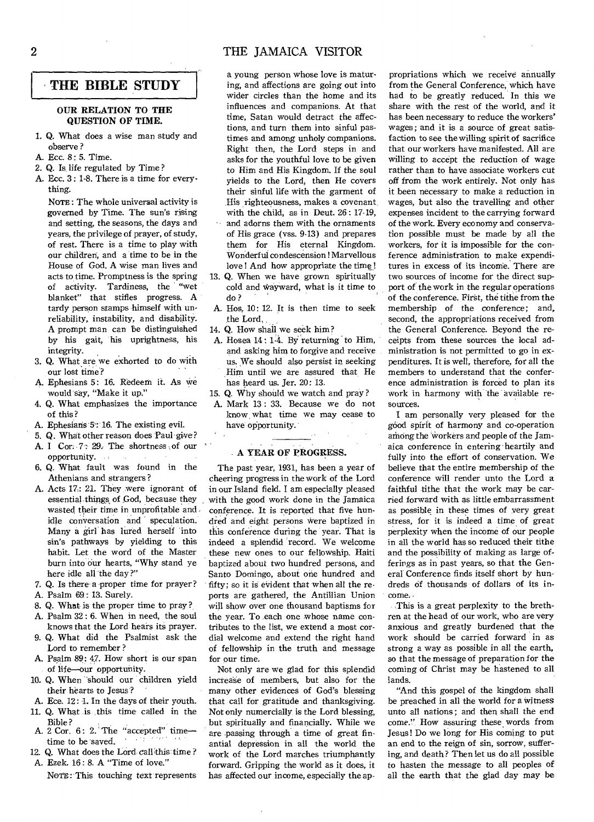#### 2 THE JAMAICA VISITOR

#### **THE BIBLE STUDY**

#### **OUR RELATION TO THE QUESTION OF TIME.**

- 1. Q. What does a wise man study and observe ?
- A. Ecc. 8: 5. Time.
- 2. Q. Is life regulated by Time?
- A. Ecc. 3 : 1-8. There is a time for everything.

NOTE: The whole universal activity is governed by Time. The sun's rising and setting, the seasons, the days and years, the privilege of prayer, of study, of rest. There is a time to play with our children; and a time to be in the House of God. A wise man lives and acts to time. Promptness is the spring of activity. Tardiness, the "wet blanket" that stifles progress. A tardy person stamps himself with unreliability, instability, and disability. A prompt man can be distinguished by his gait, his uprightness, his integrity.

- 3. Q. What are we exhorted to do with our lost time?
- A. Ephesians 5: 16. Redeem it. As we would say, "Make it up."
- 4. Q. What emphasizes the importance of this?
- A. Ephesians 5: 16. The existing evil.
- 5. Q. What other reason does Paul give?
- A. I Cor. 7: 29. The shortness of our opportunity.
- 6. Q. What fault was found in the Athenians and strangers ?
- A. Acts 17: 21. They were ignorant of essential things of God, because they wasted their time in unprofitable and idle conversation and speculation. Many a girl has lured herself into sin's pathways by yielding to this habit. Let the word of the Master burn into our hearts, "Why stand ye here idle all the day ?"
- 7. Q. Is there a proper time for prayer?
- A. Psalm 69: 13. Surely.
- 8. Q. What is the proper time to pray?.
- A. Psalm 32 : 6. When in need, the soul knows that the Lord hears its prayer.
- 9. Q. What did the Psalmist ask the Lord to remember ?
- **A.** Psalm 89: 47. How short is our span of life-our opportunity.
- 10. Q. When should our children yield their hearts to Jesus?
- A. Ece. 12: 1. In the days of their youth.
- 11. Q. What is this time called in the Bible ?
- A. 2 Cor. 6: 2. The "accepted" timetime to be saved.
- 12. Q. What does the Lord call this time ? A. Ezek. 16: 8. A "Time of love."

NOTE : This touching text represents

a young person whose love is maturing, and affections are going out into wider circles than the home and its influences and companions. At that time, Satan would detract the affections, and turn them into sinful pastimes and among unholy companions. Right then, the Lord steps in and asks for the youthful love to be given to Him and His Kingdom. If the soul yields to the Lord, then He covers their sinful life with the garment of His righteousness, makes a covenant, with the child, as in Deut. 26: 17-19,  $\cdots$  and adorns them with the ornaments of His grace (vss. 9-13) and prepares them for His eternal Kingdom. Wonderful condescension ! Marvellous love ! And how appropriate the time!

- Q. When we have grown spiritually cold and Wayward, what is it time to do?
- A. Hos, 10: 12. It is then time to seek the Lord.
- Q. How shall we seek him?
- A. Hosea 14: 1-4. By returning to Him, and asking him to forgive and receive us. We should also persist in seeking Him until we are assured that He has heard us. Jer. 20: 13.
- Q. Why should we watch and pray?
- Mark 13: 33. Because we do not know, what time we may cease to have opportunity.

#### **A YEAR OF PROGRESS.**

The past year, 1931, has been a year of cheering progress in the work of the Lord in our Island field. I am especially pleased with the good work done in the Jamaica conference. It is reported that five hundred and eight persons were baptized in this conference during the year. That is indeed a splendid record. We welcome these new ones to our fellowship. Haiti baptized about two hundred persons, and Santo Domingo, about one hundred and fifty; so it is evident that when all the reports are gathered, the Antillian Union will show over one thousand baptisms for the year. To each one whose name contributes to the list, we extend a most cordial welcome and extend the right hand of fellowship in the truth and message for our time.

Not only are we glad for this splendid increase of members, but also for the many other evidences of God's blessing that call for gratitude and thanksgiving. Not only numercially is the Lord blessing, but spiritually and financially. While we are passing through a time of great finantial depression in all the world the work of the Lord marches triumphantly forward. Gripping the world as it does, it has affected our income, especially the appropriations which we receive annually from the General Conference, which have had to be greatly reduced. In this we share with the rest of the world, and it has been necessary to reduce the workers' wages ; and it is a source of great satisfaction to see the willing spirit of sacrifice that our workers have manifested. All are willing to accept the reduction of wage rather than to have associate workers cut off from the work entirely. Not only has it been necessary to make a reduction in wages, but also the travelling and other expenses incident to the carrying forward of the work. Every economy and conservation possible must be made by all the workers, for it is impossible for the conference administration to make expenditures in excess of its income. There are two sources of income for the direct support of the work in the regular operations of the conference. First, the tithe from the membership of the conference; and, second, the appropriations received from the General Conference. Beyond the receipts from these sources the local administration is not permitted to go in expenditures. It is well, therefore, for all the members to understand that the conference administration is forced to plan its work in harmony with the available resources.

I am personally very pleased for the good spirit of harmony and co-operation among the 'Workers and people of the Jamaica conference in entering heartily and fully into the effort of conservation. We believe that the entire membership of the conference will render unto the Lord a faithful tithe that the work may be carried forward with as little embarrassment as possible in these times of very great stress, for it is indeed a time of great perplexity when the income of our people in all the world has so reduced their tithe and the possibility of making as large offerings as in past years, so that the General' Conference finds itself short by hundreds of thousands of dollars of its income.

This is a great perplexity to the brethren at the head of our work, who are very anxious and greatly burdened that the work should be carried forward in as strong a way as possible in all the earth, so that the message of preparation for the coming of Christ may be hastened to all lands.

"And this gospel of the kingdom shall be preached in all the world for a witness unto all nations ; and then shall the end come.", How assuring these words from Jesus! Do we long for His coming to put an end to the reign of sin, sorrow, suffering, and death? Then let us do all possible to hasten the message to all peoples of all the earth that the glad day may be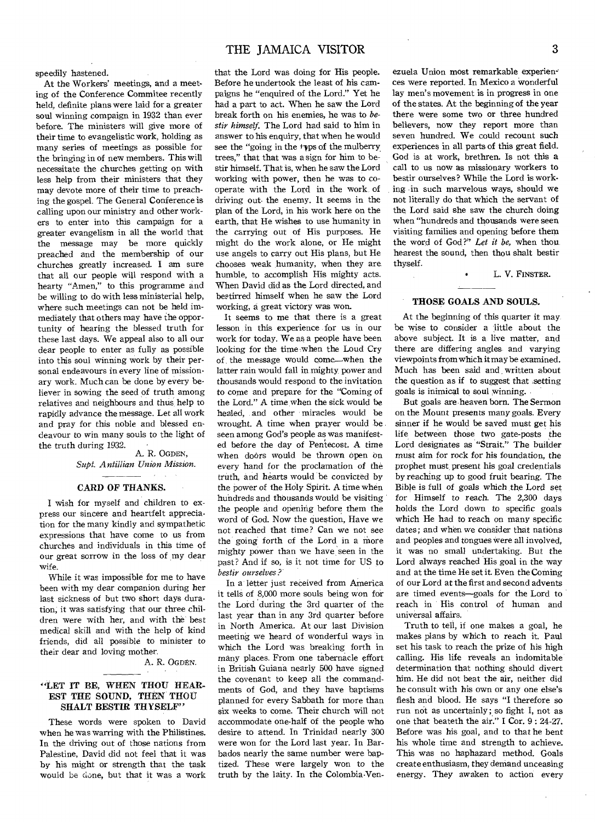speedily hastened.

At the Workers' meetings, and a meeting of the Conference Commitee recently held, definite plans were laid for a greater soul winning compaign in 1932 than ever before. The ministers will give more of their time to evangelistic work, holding as many series of meetings as possible for the bringing in of new members. This will necessitate the churches getting on with less help from their ministers that they may devote more of their time to preaching the gospel. The General Conference is calling upon our ministry and other workers to enter into this campaign for a greater evangelism in all the world that the message may be more quickly preached and the membership of our churches greatly increased. I am sure that all our people will respond with a hearty "Amen," to this programme and be willing to do with less ministerial help, where such meetings can not be held immediately that others may have the opportunity of hearing the blessed truth for these last days. We appeal also to all our dear people to enter as fully as possible into this soul winning work by their personal endeavours in every line of missionary work. Much can be done by every believer in sowing the seed of truth among relatives and neighbours and thus help to rapidly advance the message. Let all work and pray for this noble and blessed endeavour to win many souls to the light of the truth during 1932.

A. R. OGDEN, *Supt. Antillian Union Mission.* 

#### CARD OF THANKS.

I wish for myself and children to express our sincere and heartfelt appreciation for the many kindly and sympathetic expressions that have come to us from churches and individuals in this time of our great sorrow in the loss of my dear wife.

While it was impossible for me to have been with my dear companion during her last sickness of but two short days duration, it was satisfying that our three children were with her, and with the best medical skill and with the help of kind friends, did all possible to minister to their dear and loving mother.

#### A. R. OGDEN.

#### "LET IT BE, WHEN THOU HEAR-EST THE SOUND, THEN THOU SHALT BESTIR THYSELF"

These words were spoken to David when he was warring with the Philistines. In the driving out of those nations from Palestine, David did not feel that it was by his might or strength that the task would be done, but that it was a work that the Lord was doing for His people. Before he undertook the least of his campaigns he "enquired of the Lord." Yet he had a part to act. When he saw the Lord break forth on his enemies, he was to *bestir himself.* The Lord had said to him in answer to his enquiry, that when he would see the "going in the raps of the mulberry trees," that that was a sign for him to bestir himself. That is, when he saw the Lord working with power, then he was to cooperate with the Lord in the work, of driving out. the enemy. It seems in the plan of the Lord, in his work here on the earth, that He wishes to use humanity in the carrying out of His purposes. He might do the work alone, or He might use angels to carry out His plans, but He chooses weak humanity, when they are humble, to accomplish His mighty acts. When David did as the Lord directed, and bestirred himself when he saw the Lord working, a great victory was won.

It seems to me that there is a great lesson in this experience for us in our work for today. We as a people have been looking for the time when the Loud Cry of the message would come—when the latter rain would fall in mighty power and thousands would respond to the invitation to come and prepare for the "Coming of the Lord." A time when the sick would be healed, and other miracles would be wrought. A time when prayer would be seen among God's people as was manifested before the day of Pentecost. A time when doors would be thrown open on every hand for the proclamation of the truth, and hearts would be convicted by the power of the Holy Spirit. A time when hundreds and thousands would be visiting the people and opening before them the word of God. Now the question, Have we not reached that time? Can we not see the going forth of the Lord in a more mighty power than we have seen in the past? And if so, is it not time for US to *bestir ourselves?* 

In a letter just received from America it tells of 8,000 more souls being won for the Lord during the 3rd quarter of the last year than in any 3rd quarter before in North America. At our last Division meeting we heard of wonderful ways in which the Lord was breaking forth in many places. From one tabernacle effort in British Guiana nearly 500 have signed the covenant to keep all the commandments of God, and they have baptisms planned for every Sabbath for more than six weeks to come. Their church will not accommodate one-half of the people who desire to attend. In Trinidad nearly 300 were won for the Lord last year. In Barbados nearly the same number were baptized. These were largely won to the truth by the laity. In the Colombia-Yenezuela Union most remarkable experiences were reported. In Mexico a wonderful lay men's movement is in progress in one of the states. At the beginning of the year there were some two or three hundred believers, now they report more than seven hundred. We could recount such experiences in all parts of this great field. God is at work, brethren. Is not this a call to us now as missionary workers to bestir ourselves? While the Lord is working in such marvelous ways, should we not literally do that which the servant of the Lord said she saw the church doing when "hundreds and thousands were seen visiting families and opening before them the word of God ?" *Let it be,* when thou, hearest the sound, then thou shalt bestir thyself.

L. V. FINSTER.

#### THOSE GOALS AND SOULS.

At the beginning of this quarter it may be wise to consider a little about the above subject. It is a live matter, and there are differing angles and varying viewpoints from which it may be examined. Much has been said and written about the question as if to suggest that ,setting goals is inimical to soul winning.

But goals are heaven born. The Sermon on the Mount presents many goals. Every sinner if he would be saved must get his life between those two gate-posts the Lord designates as "Strait." The builder must aim for rock for his foundation, the prophet must, present his goal credentials by reaching up to good fruit bearing. The Bible is full of goals which the Lord set for Himself to reach. The 2,300 days holds the Lord down to specific goals which He had to reach on many specific dates; and when we consider that nations and peoples and tongues were all involved, it was no small undertaking. But the Lord always reached His goal in the way and at the time He set it. Even the Coming of our Lord at the first and second advents are timed events—goals for the Lord to reach in His control of human and universal affairs.

Truth to tell, if one makes a goal, he makes plans by which to reach it. Paul set his task to reach the prize of his high calling. His life reveals an indomitable determination that nothing should divert him. He did not beat the air, neither did he consult with his own or any one else's flesh and blood. He says "I therefore so run not as uncertainly ; so fight I, not as one that beateth the air." I Cor. 9 : 24-27. Before was his goal, and to that he bent his whole time and strength to achieve. This was no haphazard method. Goals create enthusiasm, they demand unceasing energy. They awaken to action every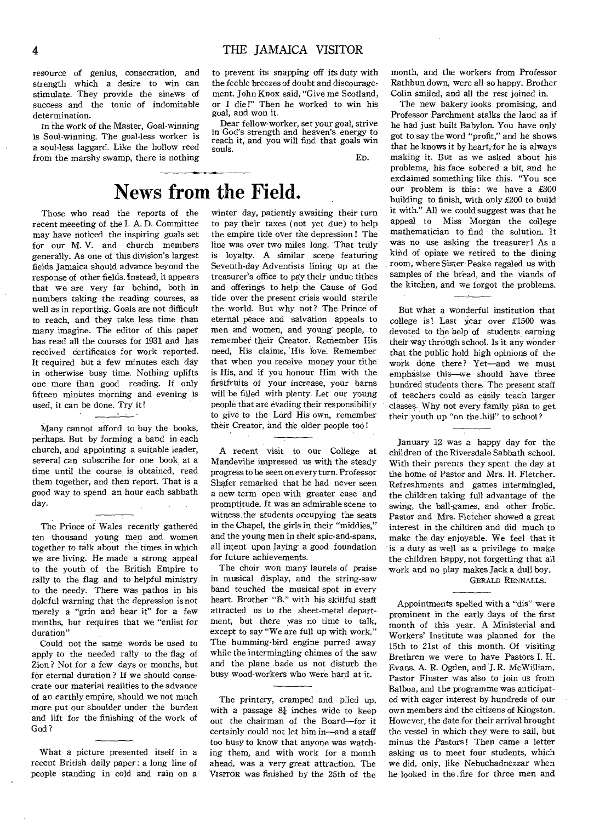resource of genius, consecration, and strength which a desire to win can stimulate. They provide the sinews of success and the tonic of indomitable determination.

In the work of the Master, Goal-winning is Soul-winning. The goal-less worker is a soul-less laggard. Like the hollow reed from the marshy swamp, there is nothing to prevent its snapping off its duty with the feeble breezes of doubt and discouragement. John Knox said, "Give me Scotland, or I die!" Then he worked to win his goal, and won it.

Dear fellow-worker, set your goal, strive in God's strength and heaven's energy to reach it, and you will find that goals win souls.

En.

## News **from the Field.**

Those who read the reports of the recent meeeting of the I. A. D. Committee may have noticed the inspiring goals set for our M. V. and church members generally. As one of this division's largest fields Jamaica should advance beyond the response of other fields. Instead, it appears that we are very far behind, both in numbers taking the reading courses, as well as in reporting. Goals are not difficult to reach, and they take less time than many imagine. The editor of this paper has read all the courses for 1931 and has received certificates for work reported. It required but a few minutes each day in otherwise busy time. Nothing uplifts one more than good reading. If only fifteen minutes morning and evening is used, it can be done. Try it!

#### Many cannot afford to buy the books, perhaps. But by forming a band in each church, and appointing a suitable leader, several can subscribe for one book, at a

time until the course is obtained, read them together, and then report. That is a good way to spend an hour each sabbath day.

The Prince of Wales recently gathered ten thousand young men and, women together to talk about the times in which we are living. He made a strong appeal to the youth of the British Empire to rally to the flag and to helpful ministry to the needy. There was pathos in his doleful warning that the depression is not merely a "grin and bear it" for a few months, but requires that we "enlist for duration"

Could not the same words be used to apply to the needed rally to the flag of Zion ? Not for a few days or months, but for eternal duration ? If we should consecrate our material realities to the advance of an earthly empire, should we not much more put our shoulder under the burden and lift for the finishing of the work of God ?

What a picture presented itself in a recent British daily paper: a long line of people standing in cold and rain on a

winter day, patiently awaiting their turn to pay their taxes (not yet due) to help the empire tide over the depression ! The line was over two miles long. That truly is loyalty. A similar scene featuring Seventh-day Adventists lining up at the treasurer's office to pay their undue tithes and offerings to help the Cause of God tide over the present crisis would startle the world. But why not? The Prince of eternal peace and salvation appeals to men and women, and young' people, to remember their Creator. Remember His need, His claims, His love. Remember that when you receive money your tithe' is His, and if you honour Him with the firstfruits of your increase, your barns will be filled with plenty. Let our young people that are evading their responsibility to give to the Lord His own, remember their Creator, and the older people too !

A recent visit to our College at Mandeville impressed us with the steady progress to be seen on every turn. Professor Shafer remarked that he had never seen a new term open with greater ease and promptitude. It was an admirable scene to witness the students occupying the seats in the Chapel, the girls in their "middies," and the young men in their spic-and-spans, all intent upon laying a good, foundation for future achievements.

The choir won many laurels of praise in musical display, and the string-saw band touched the musical spot in every heart. Brother "B." with his skillful staff attracted us to the sheet-metal department, but there was no time to talk, except to say "We are full up with work." The humming-bird engine purred away while the intermingling chimes of the saw and the plane bade us not disturb the busy wood-workers who were hard at it.

The printery, cramped and piled up, with a passage  $8\frac{1}{4}$  inches wide to keep out the chairman of the Board—for it certainly could not let him in-and a staff too busy to know that anyone was watching them, and with work for a month ahead, was a very great attraction. The VisrroR was finished by the 25th of the month, and the workers from Professor Rathbun down, were all so happy. Brother Colin smiled, and all the rest joined in.

The new bakery looks promising, and Professor Parchment stalks the land as if he had just built Babylon. You have only got to say the word "profit," and he shows that he knows it by heart, for he is always making it. But as we asked about his problems, his face sobered a bit, and he exclaimed something like this. "You see our problem is this: we have a  $£300$ building to finish, with only £200 to build it with." All we could suggest was that he appeal to Miss Morgan the college mathematician to find the solution. It was no use asking the treasurer! As a kind of opiate we retired to the dining room, where Sister Peake regaled us with samples of the bread, and the viands of the kitchen, and we forgot the problems.

But what a wonderful institution that college is! Last year over £1500 was devoted to the help of students earning their way through school. Is it any wonder that the public hold high opinions of the work done there? Yet—and we must emphasize this—we should have three hundred students there. The present staff of teachers could as easily teach larger classes. Why not every family plan to get their youth up "on the hill" to school?

January 12 was a happy day for the children of the Riversdale Sabbath school. With their parents they spent the day at the home of Pastor and Mrs. H. Fletcher. Refreshments and games intermingled, the children taking full advantage of the swing, the ball-games, and other frolic. Pastor and Mrs. Fletcher showed a great interest in the children and did much to make the day enjoyable. We feel that it is a duty as well as a privilege to make the children happy, not forgetting that all work and no play makes Jack a dull boy.

#### GERALD RENNALLS.

Appointments spelled with a "dis" were prominent in the early days of the first month of this year. A Ministerial and Workers' Institute was planned for the 15th to 21st of this month. Of visiting Brethren we were to have Pastors I. H. Evans, A. R. Ogden, and J. R. McWilliam. Pastor Finster was also to join us from Balboa, and the programme was anticipated with eager interest by hundreds of our own members and the citizens of Kingston. However, the date for their arrival brought the vessel in which they were to sail, but minus the Pastors! Then came a letter asking us to meet four students, which we did, only, like Nebuchadnezzar when he looked in the . fire for three men and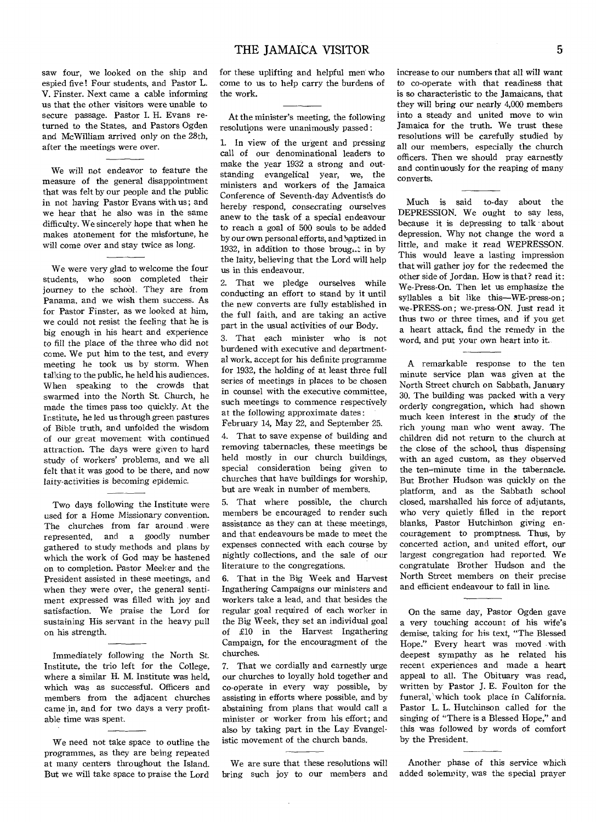saw four, we looked on the ship and espied five! Four students, and Pastor L. V. Finster. Next came a cable informing us that the other visitors were unable to secure passage. Pastor I. H. Evans returned to the States, and Pastors Ogden and McWilliam arrived only on the 28th, after the meetings were over.

We will not endeavor to feature the measure of the general disappointment that was felt by our people and the public in not having Pastor Evans with us ; and we hear that he also was in the same difficulty. We sincerely hope that when he makes atonement for the misfortune, he will come over and stay twice as long.

We were very glad to welcome the four students, who soon completed their journey to the school. They are from Panama, and we wish them success. As for Pastor Finster, as we looked at him, we could not resist the feeling that he is big enough in his heart and experience to fill the place of the three who did not come. We put him to the test, and every meeting he took us by storm. When talking to the public, he held his audiences. When speaking to the crowds that swarmed into the North St. Church, he made the times pass too quickly. At the Institute, he led us through green pastures of Bible truth, and unfolded the wisdom of our great movement with continued attraction. The days were given to hard study of workers' problems, and we all felt that it was good to be there, and now laity-activities is becoming epidemic.

Two days following the Institute were used for a Home Missionary convention. The churches from far around . were represented, and a goodly number gathered to study methods and plans by which the work of God may be hastened on to completion. Pastor Meeker and the President assisted in these meetings, and when they were over, the general sentiment expressed was filled with joy and satisfaction. We praise the Lord for sustaining His servant in the heavy pull on his strength.

Immediately following the North St. Institute, the trio left for the College, where a similar H. M. Institute was held, which was as successful. Officers and members from the adjacent churches came in, and for two days a very profitable time was spent.

We need not take space to outline the programmes, as they are being repeated at many centers throughout the Island. But we will take space to praise the Lord for these uplifting and helpful men who come to us to help carry the burdens of the work.

At the minister's meeting, the following resolutions were unanimously passed :

1. In view of the urgent and pressing call of our denominational leaders to make the year 1932 a strong and outstanding evangelical year, we, the ministers and workers of the Jamaica Conference of Seventh-day Adventists do hereby respond, consecrating ourselves anew to the task of a special endeavour to reach a goal of 500 souls to be added by our own personal efforts, and baptized in 1932, in addition to those brought in by the laity, believing that the Lord will help us in this endeavour.

2. That we pledge ourselves while conducting an effort to stand by it until the new converts are fully established in the full faith, and are taking an active part in the usual activities of our Body.

3. That each minister who is not burdened with executive and departmental work, accept for his definite programme for 1932, the holding of at least three full series of meetings in places to be chosen in counsel with the executive committee, such meetings to commence respectively at the following approximate dates:

February 14, May 22, and September 25.

4. That to save expense of building and removing tabernacles, these meetings be held mostly in our church buildings, special consideration being given to churches that have buildings for worship, but are weak in number of members.

5. That where possible, the church members be encouraged to render such assistance as they can at these meetings, and that endeavours be made to meet the expenses connected with each course by nightly collections, and the sale of our literature to the congregations.

6. That in the Big Week and Harvest Ingathering Campaigns our ministers and workers take a lead, and that besides the regular goal required of each worker in the Big Week, they set an individual goal of £10 in the Harvest Ingathering Campaign, for the encouragment of the churches.

7. That we cordially and earnestly urge our churches to loyally hold together and co-operate in every way possible, by assisting in efforts where possible, and by abstaining from plans that would call a minister or worker from his effort; and also by taking part in the Lay Evangelistic movement of the church bands.

We are sure that these resolutions will bring such joy to our members and increase to our numbers that all will want to co-operate with that readiness that is so characteristic to the Jamaicans, that they will bring our nearly 4,000 members into a steady and united move to win Jamaica for the truth. We trust these resolutions will be carefully studied by all our members, especially the church officers. Then we should pray earnestly and continuously for the reaping of many converts.

Much is said to-day about the DEPRESSION. We ought to say less, because it is depressing to talk about depression. Why not change the word a little, and make it read WEPRESSON. This would leave a lasting impression that will gather joy for the redeemed the other side of Jordan. How is that? read it: We-Press-On. Then let us emphasize the syllables a bit like this—WE-press-on; we-PRESS-on ; we-press-ON. Just read it thus two or three times, and if you get a heart attack, find the remedy in the word, and put your own heart into it.

A remarkable response to the ten minute service plan was given at the North Street church on Sabbath, January 30. The building was packed with a very orderly congregation, which had shown much keen interest in the study of the rich young man who went away. The children did not return to the church at the close of the school, thus dispensing with an aged custom, as they observed the ten—minute time in the tabernacle. But Brother Hudson was quickly on the platform, and as the Sabbath school closed, marshalled his force of adjutants, who very quietly filled in the report blanks, Pastor Hutchinson giving encouragement to promptness. Thus, by concerted action, and united effort, our largest congregation had reported. We congratulate Brother Hudson and the North Street members on their precise and efficient endeavour to fall in line.

On the same day, Pastor Ogden gave a very touching account of his wife's demise, taking for his text, "The Blessed Hope." Every heart was moved with deepest sympathy as he related his recent experiences and made a heart appeal to all. The Obituary was read, written by Pastor J. E. Foulton for the funeral, which took place in California. Pastor L. L. Hutchinson called for the singing of "There is a Blessed Hope," and this was followed by words of comfort by the President.

Another phase of this service which added solemnity, was the special prayer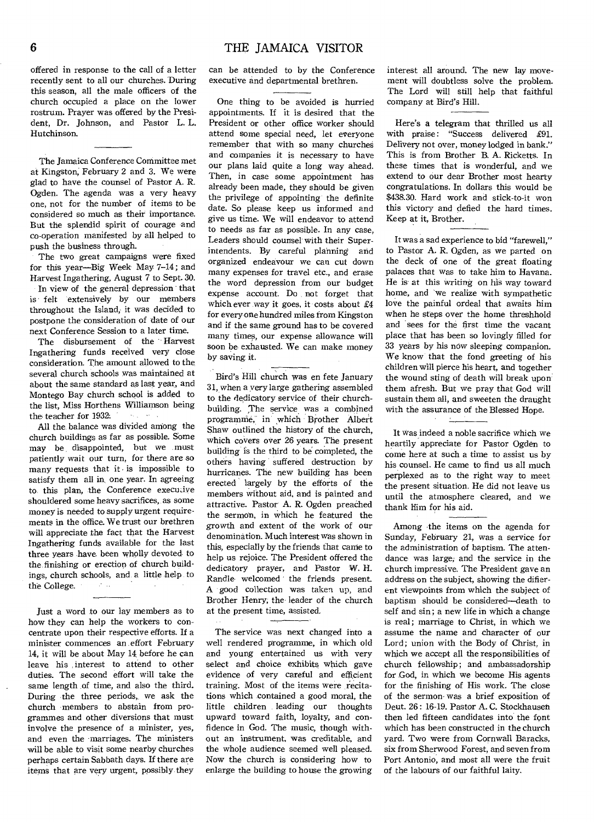offered in response to the call of a letter recently sent to all our churches. During this season, all the male officers of the church occupied a place on the lower rostrum. Prayer was offered by the President, Dr. Johnson, and Pastor L. L. Hutchinson.

The Jamaica Conference Committee met at Kingston; February 2 and 3. We were glad to have the counsel of Pastor A. R. Ogden. The agenda was a very heavy one, not for the number of items to be considered so much as their importance. But the splendid spirit of courage and co-operation manifested by all helped to push the business through.

The two great campaigns were fixed for this year—Big Week May 7-14; and Harvest Ingathering, August 7 to Sept. 30.

In view of the general depression that is felt extensively by our members throughout the Island; it was decided to postpone the consideration of date of our next Conference Session to a later time.

The disbursement of the Harvest Ingathering funds received very close consideration. The amount allowed to the several church schools was maintained at about the same standard as last year, and Montego Bay church school is added to the list, Miss Horthens Williamson being the teacher for 1932.  $\langle \mathbf{a}_{\alpha} \rangle_{\mathcal{C}} = \langle \mathbf{a}_{\alpha} \rangle$ 

All the, balance was divided among the church buildings as far as possible. Some may be, disappointed, but we .must patiently wait our turn, for there are so many requests that it is impossible to satisfy them all in one year. In agreeing to this plan, the Conference executive shouldered some heavy sacrifices, as some money is needed to supply urgent requirements in the office. We trust our brethren will appreciate the fact that the Harvest Ingathering funds available for the last three years have, been wholly devoted. to the, finishing or erection of church buildings, church schools, and, a little help to the College.

Just a word to our lay members as to how they can help the workers to concentrate upon their respective efforts. If a minister commences an effort February 14, it will be about May 14 before he can leave his ,interest to attend to other duties. The second effort will take the same length of time, and also the third. During the three periods, we ask the church members to abstain from programmes and other diversions that must involve the presence of a minister, yes, and even the marriages. The ministers will be able to visit some nearby churches perhaps certain Sabbath days. If there are items that are very urgent, possibly they can be attended to by the Conference executive and departmental brethren.

One thing to be avoided is hurried appointments. If it is desired that the President or other office worker should attend some special need, let everyone remember that with so many churches and companies it is necessary to have our plans laid quite a long way ahead. Then, in case some appointment has already been made, they should be given the privilege of appointing the definite date. So please keep us informed and give us time. We will endeavor to attend to needs as far as possible. In any case, Leaders should counsel with their Superintendents. By careful planning and organized endeavour we can cut down many expenses for travel etc., and erase the word depression from our budget expense account. Do not forget that which ever ,way it goes, it costs about £4 for every one hundred miles from Kingston and if the same ground has to be covered many times, our expense allowance will soon be exhausted. We can make money by saving it.

Bird's Hill church was en fete January 31, when a very large gathering assembled to the dedicatory service of their churchbuilding. The service was a combined programme, in' which Brother Albert Shaw outlined the history of the church, which covers over 26 years. The present building is the third to be completed, the others having suffered destruction by hurricanes. The new building has been erected largely by the efforts of the members without aid, and is painted and attractive. Pastor A. R. Ogden preached the sermon, in Which he featured the growth and extent of the work of our denomination. Much interest was shown in this, especially by the friends that came to help us rejoice. The President offered the dedicatory prayer, and Pastor W. H. Randle welcomed ' the friends present. A good collection was taken up, and Brother Henry, the leader of the church at the present time, assisted.

The service was next changed into a well rendered programme, in which old and young entertained us with very select and choice exhibits which gave evidence of very careful and efficient training. Most of the items were recitations which contained a good moral, the little children leading our thoughts upward toward faith, loyalty, and confidence in God. The music, though without an instrument, was creditable, and the whole audience seemed well pleased. Now the church is considering how to enlarge the building to house the growing

interest all around. The new lay movement will doubtless solve the problem. The Lord will still help that faithful company at Bird's Hill.

Here's a telegram that thrilled us all with praise: "Success delivered £91. Delivery not over, money lodged in bank." This is from Brother B. A. Ricketts. In these times that is wonderful, and we extend to our dear Brother most hearty congratulations. In dollars this would be \$438.30. Hard work and stick-to-it won this victory and defied the hard times. Keep at it, Brother.

It was a sad experience to bid "farewell," to Pastor A. R. Ogden, as we parted on the deck of one of the great floating palaces that was to take him to Havana. He is at this writing on his way toward home, and we realize with sympathetic love the painful ordeal that awaits him when he steps over the home threshhold and sees for the first time the vacant place that has been so lovingly filled for 33 years by his now sleeping companion. We know' that the fond greeting of his children will pierce his heart, and together the wound sting of death will break upon' them afresh. But we pray that God will sustain them all, and sweeten the draught with the assurance of the Blessed Hope.

It was indeed a noble sacrifice which we heartily appreciate for Pastor Ogden to come here at such a time to assist us by his counsel. He came to find us all much perplexed as to the right way to meet the present situation. He did not leave us until the atmosphere cleared, and we thank him for his aid.

Among the items on the agenda for Sunday, February 21, was a service for the administration of baptism. The attendance was large; and the service in the church impressive. The President gave an address on the subject, showing the different viewpoints from which the subject of baptism should be considered—death to self and sin; a new life in which a change is real; marriage to Christ, in which we assume the name and character of our Lord; union with the Body of Christ, in which we accept all the responsibilities of church fellowship; and ambassadorship for God, in which we become His agents for the finishing of His work. The close of the sermon- was a brief exposition of Deut. 26: 16-19. Pastor A. C. Stockhausen then led fifteen candidates into the font which has been constructed in the church yard. Two were from Cornwall Baracks, six from Sherwood Forest, and seven from Port Antonio, and most all were the fruit of the labours of our faithful laity.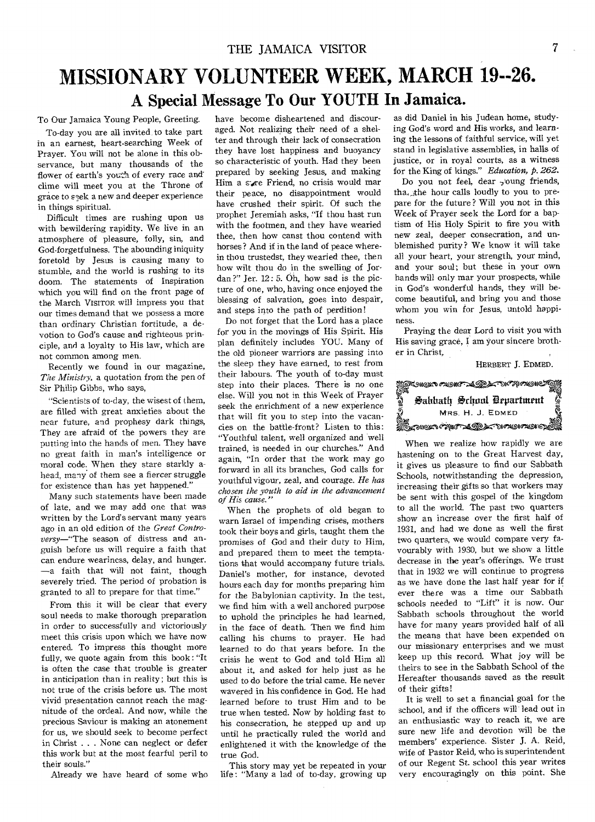## MISSIONARY VOLUNTEER WEEK, MARCH 19--26. **A Special Message To Our YOUTH In Jamaica.**

To Our Jamaica Young People, Greeting.

To-day you are all invited to take part in an earnest, heart-searching Week of Prayer. You will not be alone in this observance, but many thousands of the flower of earth's youth of every race andclime will meet you at the Throne of grace to seek a new and deeper experience in things spiritual.

Difficult times are rushing upon us with bewildering rapidity. We live in an atmosphere of pleasure, folly, sin, and God-forgetfulness. The abounding iniquity foretold by Jesus is causing many to stumble, and the world is rushing to its doom. The statements of Inspiration which you will find on the front page of the March VISITOR will impress you that our times demand that we possess a more than ordinary Christian fortitude, a devotion to God's cause and righteous principle, and a loyalty to His law, which are not common among men.

Recently we found in our magazine, *The Ministry,* a quotation from the pen of Sir Philip Gibbs, who says,

"Scientists of to-day, the wisest of them, are filled with great anxieties about the near future, and prophesy dark things, They are afraid of the powers they are putting into the hands of men. They have no great faith in man's intelligence or moral code. When they stare starkly ahead, many of them see a fiercer struggle for existence than has yet happened."

Many such statements have been made of late, and we may add one that was written by the Lord's servant many years ago in an old edition of the *Great Controversy—"The* season of distress and anguish before us will require a faith that can endure weariness, delay, and hunger. —a faith that will not faint, though severely tried. The period of probation is granted to all to prepare for that time."

From this it will be clear that every soul needs to make thorough preparation in order to successfully and victoriously meet this crisis upon which we have now entered. To impress this thought more fully, we quote again from this book : "It is often the case that trouble is greater in anticipation than in reality; but this is not true of the crisis before us. The most vivid presentation cannot reach the magnitude of the ordeal. And now, while the precious Saviour is making an atonement for us, we should seek to become perfect in Christ . . . None can neglect or defer this work but at the most fearful peril to their souls."

Already we have heard of some who

have become disheartened and discouraged. Not realizing their need of a shelter and through their lack of consecration they have lost happiness and buoyancy so characteristic of youth. Had they been prepared by seeking Jesus, and making Him a sare Friend, no crisis would mar their peace, no disappointment would have crushed their spirit. Of such the prophet Jeremiah asks, "If thou hast run with the footmen, and they have wearied thee, then how canst thou contend with horses? And if in the land of peace wherein thou trustedst, they wearied thee, then how wilt thou do in the swelling of Jordan?" Jer. 12: 5. Oh, how sad is the picture of one, who, having once enjoyed the blessing of salvation, goes into despair, and steps into the path of perdition!

Do not forget that the Lord has a place for you in the movings of His Spirit. His plan definitely includes YOU. Many of the old pioneer warriors are passing into the sleep they have earned, to rest from their labours. The youth of to-day must step into their places. There is no one else. Will you not in this Week of Prayer seek the enrichment of a new experience that will fit you to step into the vacancies on the battle-front? Listen to this: "Youthful talent, well organized and well trained, is needed in our churches." And again, "In order that the work may go forward in all its branches, God calls for youthful vigour, zeal, and courage. *He has chosen the youth to aid in the advancement of His cause."* 

When the prophets of old began to warn Israel of impending crises, mothers took their boys and girls, taught them the promises of God and their duty to Him, and prepared them to meet the temptations that would accompany future trials. Daniel's mother, for instance, devoted hours each day for months preparing him for the Babylonian captivity. In the test, we find him with a well anchored purpose to uphold the principles he had learned, in the face of death. Then we find him calling his chums to prayer. He had learned to do that years before. In the crisis he went to God and told Him all about it, and asked for help just as he used to do before the trial came. He never wavered in his confidence in God. He had learned before to trust Him and to be true when tested. Now by holding fast to his consecration, he stepped up and up until he practically ruled the world and enlightened it with the knowledge of the true God.

This story may yet be repeated in your life : "Many a lad of to-day, growing up as did Daniel in his Judean home, studying God's word and His works, and learning the lessons of faithful service, will yet stand in legislative assemblies, in halls of justice, or in royal courts, as a witness for the King of kings." *Education,* p. *262.* 

Do you not feel, dear soung friends, tha, the hour calls loudly to you to prepare for the future? Will you not in this Week of Prayer seek the Lord for a baptism of His Holy Spirit to fire you with new zeal, deeper consecration, and unblemished purity? We know it will take all your heart, your strength, your mind, and your soul; but these in your own hands will only mar your prospects, while in God's wonderful hands, they will become beautiful, and bring you and those whom you win for Jesus, untold happiness.

Praying the dear Lord to visit you with His saving grace, I am your sincere brother in Christ,

HERBERT J. EDMED.



When we realize how rapidly we are hastening on to the Great Harvest day, it gives us pleasure to find our Sabbath Schools, notwithstanding the depression, increasing their gifts so that workers may be sent with this gospel of the kingdom to all the world. The past two quarters show an increase over the first half of 1931, and had we done as well the first two quarters, we would compare very favourably with 1930, but we show a little decrease in the year's offerings. We trust that in 1932 we will continue to progress as we have done the last half year for if ever there was a time our Sabbath schools needed to "Lift" it is now. Our Sabbath schools throughout the world have for many years provided half of all the means that have been expended on our missionary enterprises and we must keep up this record. What joy will be theirs to see in the Sabbath School of the Hereafter thousands saved as the result of their gifts!

It is well to set a financial goal for the school, and if the officers will lead out in an enthusiastic way to reach it, we are sure new life and devotion will be the members' experience. Sister J. A. Reid, wife of Pastor Reid, who is superintendent of our Regent St. school this year writes very encouragingly on this point. She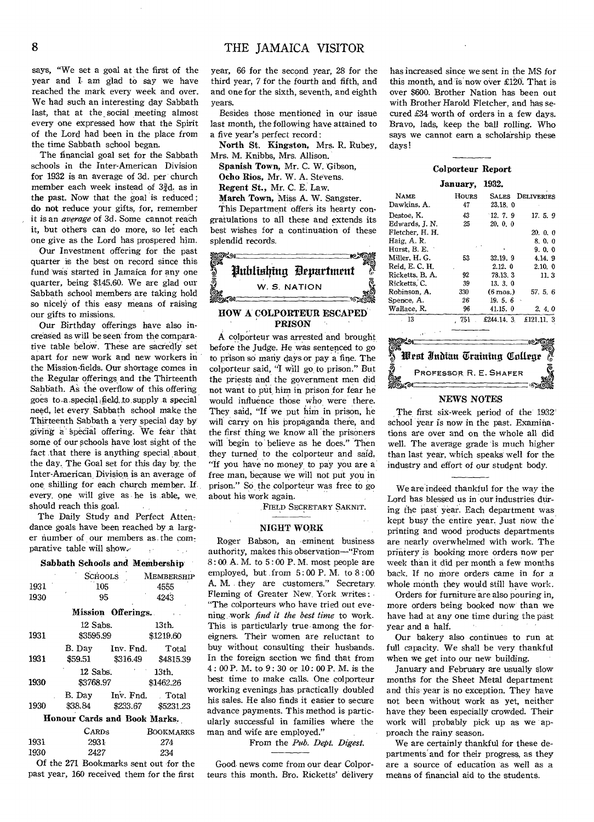says, "We set a goal at the first of the year and 1 am glad to say we have reached the mark every week and over. We had such an interesting day Sabbath last, that at the social meeting almost every one expressed how that the Spirit of the Lord had been in the place from the time Sabbath school began.

The financial goal set for the Sabbath schools in the Inter-American Division for 1932 is an average of 3d. per church member each week instead of  $3\frac{3}{2}d$ , as in the past. Now that the goal is reduced ; do not reduce your gifts, for, remember it is an *average* of 3d. Some cannot reach it, but others can do more, so let each one give as the Lord has prospered him.

Our Investment offering for the past quarter is the best on record since this fund was started in Jamaica for any one quarter, being \$145.60. We are glad our Sabbath school members are taking hold so nicely of this easy means of raising our gifts to missions.

Our Birthday offerings have also increased as will be seen from the comparative table below. These are sacredly set apart for new work and new workers in the Mission-fields. Our shortage comes in the Regular offerings and the Thirteenth Sabbath. As the overflow of this offering goes to a special field to supply a special need, let every Sabbath school make the Thirteenth Sabbath a very special day by" giving a Spedial offering. We fear that some of our schools have lost sight of the fact that there is anything special about the day. The Goal set for this day by, the Inter-American.Division is an average of one shilling for each church member. If every, one will give as he is able, we, should reach this goal.

The Daily Study and Perfect Attendance goals have been reached by a larger number of our members as the comparative table will show.

#### Sabbath Schools and Membership

|                              | <b>SCHOOLS</b>    |                  | MEMBERSHIP |  |  |  |
|------------------------------|-------------------|------------------|------------|--|--|--|
| 1931                         | 105               |                  | 4555       |  |  |  |
| 1930                         |                   | 95               | 4243       |  |  |  |
| Mission Offerings.           |                   |                  |            |  |  |  |
|                              | 12 Sabs.          |                  | 13th.      |  |  |  |
| 1931                         | \$3595.99         |                  | \$1219.60  |  |  |  |
|                              | B. Day            | Inv. Fnd.        | Total      |  |  |  |
| 1931                         | \$59.51           | \$316.49         | \$4815.39  |  |  |  |
|                              | 12 Sabs.<br>13th. |                  |            |  |  |  |
| 1930                         | \$3768.97         |                  | \$1462.26  |  |  |  |
|                              |                   | B. Day Inv. Fnd. | . Total    |  |  |  |
| 1930                         | \$38.84           | \$233.67         | \$5231.23  |  |  |  |
| Honour Cards and Book Marks. |                   |                  |            |  |  |  |
|                              | Cards             |                  | BOOKMARKS  |  |  |  |

| 1931 | 2931 | 274                                   |
|------|------|---------------------------------------|
| 1930 | 2427 | -234                                  |
|      |      | Of the 271 Bookmarks sent out for the |

year, 66 for the second year, 28 for the third year, 7 for the fourth and fifth, and and one for the sixth, seventh, and eighth years.

Besides those mentioned in our issue last month, the following have attained to a five year's perfect record :

North St. Kingston, Mrs. R. Rubey, Mrs. M. Knibbs, Mrs. Allison.

Spanish Town, Mr. C. W. Gibson, Ocho Rios, Mr. W. A. Stevens.

Regent St., Mr. C. E. Law.

March Town, Miss A. W. Sangster.

This Department offers its hearty congratulations to all these and extends its best wishes for a continuation of these splendid records.



#### HOW A COLPORTEUR ESCAPED PRISON

A colporteur was arrested and brought before the Judge. He was sentenced to go to prison so many days or pay a fine. The colporteur said, "I will go to prison." But the priests and the government men did not want to put him in prison for fear he would influence those who were there. They said, "If we put him in prison, he will carry on his propaganda there, and the first thing we know all 'the prisoners will begin to believe as he does." Then they turned to the colporteur and said, "If you have no money, to pay you are a free man, because we will not put you in prison." So the colporteur was free to go about his work again.

FIELD SECRETARY SAKNIT.

#### NIGHT WORK

Roger Babson, an eminent business authority, makes this observation-"From  $8:00$  A. M. to  $5:00$  P. M. most people are employed, but from  $5:00$  P.M. to  $8:00$ A. M. they are customers." Secretary. Fleming of Greater New, York writes : "The colporteurs who have tried out evening work *find it the best time* to work. This is particularly true. among the foreigners. Their women are reluctant to buy without consulting their husbands. In the foreign section we find that from 4 : 00 P. M. to 9 : 30 or 10: 00 P. M. is the best time to make calls. One colporteur working evenings has practically doubled his sales. He also finds it easier to secure advance payments. This method is particularly successful in families where the man and wife are employed."

From the *Pith. Dept. Digest.* 

Of the 271 Bookmarks sent out for the Good news come from our dear Colpor-<br>past year, 160 received them for the first teurs this month. Bro. Ricketts' delivery teurs this month. Bro. Ricketts' delivery

has increased since we sent in the MS for this month, and is now over £120. That is over \$600. Brother Nation has been out with Brother Harold Fletcher, and has secured £34 worth of orders in a few days. Bravo, lads, keep the ball rolling. Who says we cannot earn a scholarship these days!

#### Colporteur Report

January, 1932.

| <b>NAME</b>     | <b>HOURS</b> | <b>SALES</b>       | DELIVERIES |
|-----------------|--------------|--------------------|------------|
| Dawkins. A.     | 47           | 23.18.0            |            |
| Destoe, K.      | 43           | 12, 7, 9           | 17.5.9     |
| Edwards, J. N.  | 25           | 20.0.0             |            |
| Fletcher, H. H. |              |                    | 20.0.0     |
| Haig. A. R.     |              |                    | 8.0.0      |
| Hurst, B. E.    |              |                    | 9.0.0      |
| Miller, H. G.   | 53           | 32.19.9            | 4.14.9     |
| Reid, E. C. H.  |              | 2.12.0             | 2.10.0     |
| Ricketts, B. A. | 92           | 78.13.3            | 11.3       |
| Ricketts, C.    | 39           | 13.3.0             |            |
| Robinson, A.    | 330          | $(6 \text{ mos.})$ | 57.5.6     |
| Spence, A.      | 26           | 19.5.6             |            |
| Wallace, R.     | 96           | 41.15.0            | 2.4.0      |
| 13              | 751          | £244.14.3          | £121.11.3  |
|                 |              |                    |            |



#### NEWS NOTES

The first six-week period of the' 1932 school year is now in the past. Examinations are over and on the whole all did well. The average grade is much higher than last year, which speaks well for the industry and effort of our student body.

We are indeed thankful for the way the Lord has blessed us in our industries during the past year. Each department was kept busy the entire year. Just now the printing and wood products departments are nearly overwhelmed with work. The printery is booking more orders now per week than it did per month a few months back. If no more orders came in for a whole month they would still have work.

Orders for furniture are also pouring in, more orders being booked now' than we have had at any one time during the past year and a half.

Our bakery also continues to run at full capacity. We shall be very thankful when we get into our new building.

January and February are usually slow months for the Sheet Metal department and this year is no exception. They have not been without work as yet, neither have they been especially crowded. Their work will probably pick up as we approach the rainy season.

We are certainly thankful for these departments and for their progress, as they are a source of education as well as a means of financial aid to the students.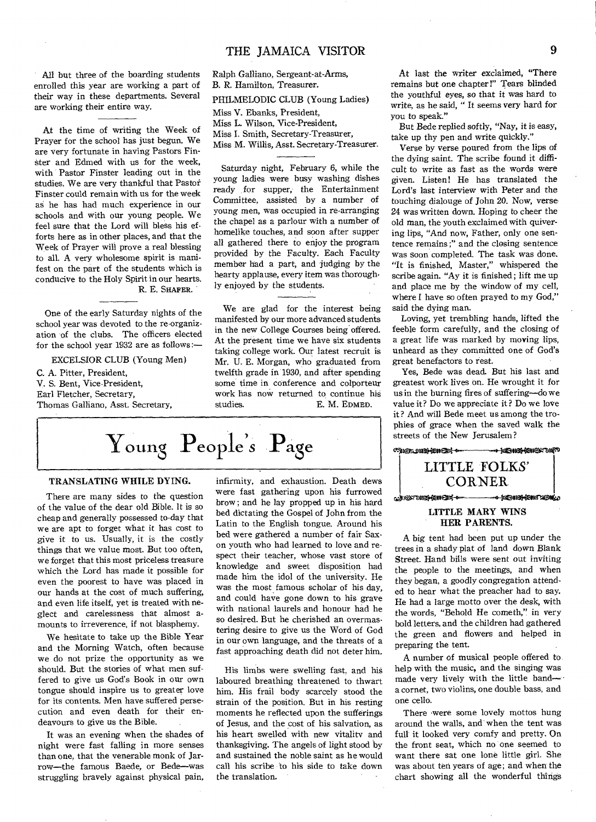All but three of the boarding students enrolled this year are working a part of their way in these departments. Several are working their entire way.

At the time of writing the Week of Prayer for the school has just begun. We are very fortunate in having Pastors Finster and Edmed with us for the week, with Pastor Finster leading out in the studies. We are very thankful that Pastor' Finster could remain with us for the week as he has had much experience in our schools and with our young people. We feel sure that the Lord will bless his efforts here as in other places, and that the Week of Prayer will prove a real blessing to all. A very wholesome spirit is manifest on the part of the students which is conducive to the Holy Spirit in our hearts. R. E. SHAFER.

One of the early Saturday nights of the school year was devoted to the re-organization of the clubs. The officers elected for the school year 1932 are as follows:—

EXCELSIOR CLUB (Young Men) C. A. Pitter, President, V. S. Bent, Vice-President, Earl Fletcher, Secretary, Thomas Galliano, Asst. Secretary,

Ralph Galliano, Sergeant-at-Arms, B. R. Hamilton, Treasurer. PHILMELODIC CLUB (Young Ladies) Miss V. Ebanks, President,

Miss L. Wilson, Vice-President,

Miss T. Smith, Secretary-Treasurer,

Miss M. Willis, Asst. Secretary-Treasurer.

Saturday night, February 6, while the young ladies were busy washing dishes ready for supper, the Entertainment Committee, assisted by a number of young men, was occupied in re-arranging the chapel as a parlour with a number of homelike touches, and soon after supper all gathered there to enjoy the program provided by the Faculty. Each Faculty member had a part, and judging by the hearty applause, every item was thoroughly enjoyed by the students.

We are glad for the interest being manifested by our more advanced students in the new College Courses being offered. At the present time we have six students taking college work. Our latest recruit is Mr. U. E. Morgan, who graduated from twelfth grade in 1930, and after spending some time in conference and colporteur work has now returned to continue his studies.<br>E. M. EDMED. E. M. EDMED.

## Young People's Page

#### TRANSLATING WHILE DYING.

There are many sides to the question of the value of the dear old Bible. It is so cheap and generally possessed to-day that we are apt to forget what it has cost to give it to us. Usually, it is the costly things that we value most. But too often, we forget that this most priceless treasure which the Lord has made it possible for even the poorest to have was placed in our hands at the cost of much suffering, and even life itself, yet is treated with neglect and carelessness that almost amounts to irreverence, if not blasphemy.

We hesitate to take up the Bible Year and the Morning Watch, often because we do not prize the opportunity as we should. But the stories of what men suffered to give us God's Book in our own tongue should inspire us to greater love for its contents. Men have suffered persecution and even death for their endeavours to give us the Bible.

It was an evening when the shades of night were fast falling in more senses than one, that the venerable monk of Jarrow—the famous Baede, or Bede—was struggling bravely against physical pain, infirmity, and exhaustion. Death dews were fast gathering upon his furrowed brow; and he lay propped up in his hard bed dictating the Gospel of John from the Latin to the English tongue. Around his bed were gathered a number of fair Saxon youth who had learned to love and respect their teacher, whose vast store of knowledge and sweet disposition had made him the idol of the university. He was the most famous scholar of his day, and could have gone down to his grave with national laurels and honour had he so desired. But he cherished an overmastering desire to give us the Word of God in our own language, and the threats of a fast approaching death did not deter him.

His limbs were swelling fast, and his laboured breathing threatened to thwart him. His frail body scarcely stood the strain of the position. But in his resting moments he reflected upon the sufferings of Jesus, and the cost of his salvation, as his heart swelled with new vitality and thanksgiving. The angels of light stood by and sustained the noble saint as he would call his scribe to his side to take down the translation.

At last the writer exclaimed, "There remains but one chapter!" Tears blinded the youthful eyes, so that it was hard to write, as he said, " It seems very hard for you to speak."

But Bede replied softly, "Nay, it is easy, take up thy pen and write quickly."

Verse by verse poured from the lips of the dying saint. The scribe found it difficult to write as fast as the words were given. Listen! He has translated the Lord's last interview with Peter and the touching dialouge of John 20. Now, verse 24 was written down. Hoping to cheer the old man, the youth exclaimed with quivering lips, "And now, Father, only one sentence remains ;" and the closing sentence was soon completed. The task was done. "It is finished, Master," whispered the scribe again. "Ay it is finished; lift me up and place me by the window of my cell, where I have so often prayed to my God," said the dying man.

Loving, yet trembling hands, lifted the feeble form carefully, and the closing of a great life was marked by moving lips, unheard as they committed one of God's great benefactors to rest.

Yes, Bede was dead. But his last and greatest work lives on. He wrought it for us in the burning fires of suffering—do we value it? Do we appreciate it ? Do we love it? And will Bede meet us among the trophies of grace when the saved walk the



### HER PARENTS.

A big tent had been put up under the trees in a shady plat of land down Blank Street. Hand bills were sent out inviting the people to the meetings, and when they began, a goodly congregation attended to hear what the preacher had to say. He had a large motto over the desk, with the words, "Behold He cometh," in very bold letters, and the children had gathered the green and flowers and helped in preparing the tent.

A number of musical people offered to, help with the music, and the singing was made very lively with the little band a cornet, two violins, one double bass, and one cello.

There were some lovely mottos hung around the walls, and when the tent was full it looked very comfy and pretty. On the front seat, which no one seemed to want there sat one lone little girl. She was about ten years of age; and when the chart showing all the wonderful things